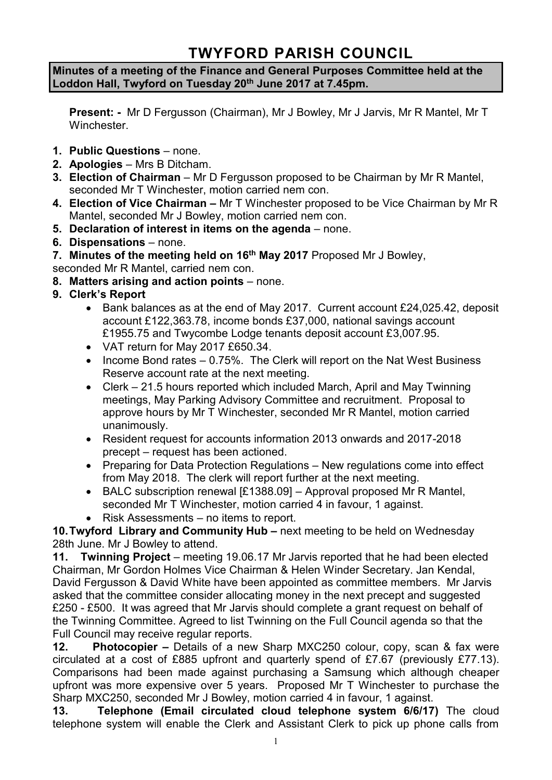# **TWYFORD PARISH COUNCIL**

**Minutes of a meeting of the Finance and General Purposes Committee held at the Loddon Hall, Twyford on Tuesday 20th June 2017 at 7.45pm.**

**Present: -** Mr D Fergusson (Chairman), Mr J Bowley, Mr J Jarvis, Mr R Mantel, Mr T Winchester.

- **1. Public Questions** none.
- **2. Apologies** Mrs B Ditcham.
- **3. Election of Chairman** Mr D Fergusson proposed to be Chairman by Mr R Mantel, seconded Mr T Winchester, motion carried nem con.
- **4. Election of Vice Chairman –** Mr T Winchester proposed to be Vice Chairman by Mr R Mantel, seconded Mr J Bowley, motion carried nem con.
- **5. Declaration of interest in items on the agenda**  none.
- **6. Dispensations**  none.
- **7. Minutes of the meeting held on 16th May 2017** Proposed Mr J Bowley,

seconded Mr R Mantel, carried nem con.

- **8. Matters arising and action points** none.
- **9. Clerk's Report**
	- Bank balances as at the end of May 2017. Current account £24,025.42, deposit account £122,363.78, income bonds £37,000, national savings account £1955.75 and Twycombe Lodge tenants deposit account £3,007.95.
	- VAT return for May 2017 £650.34.
	- Income Bond rates 0.75%. The Clerk will report on the Nat West Business Reserve account rate at the next meeting.
	- Clerk 21.5 hours reported which included March, April and May Twinning meetings, May Parking Advisory Committee and recruitment. Proposal to approve hours by Mr T Winchester, seconded Mr R Mantel, motion carried unanimously.
	- Resident request for accounts information 2013 onwards and 2017-2018 precept – request has been actioned.
	- Preparing for Data Protection Regulations New regulations come into effect from May 2018. The clerk will report further at the next meeting.
	- BALC subscription renewal [£1388.09] Approval proposed Mr R Mantel, seconded Mr T Winchester, motion carried 4 in favour, 1 against.
	- Risk Assessments no items to report.

**10.Twyford Library and Community Hub –** next meeting to be held on Wednesday 28th June. Mr J Bowley to attend.

**11. Twinning Project** – meeting 19.06.17 Mr Jarvis reported that he had been elected Chairman, Mr Gordon Holmes Vice Chairman & Helen Winder Secretary. Jan Kendal, David Fergusson & David White have been appointed as committee members. Mr Jarvis asked that the committee consider allocating money in the next precept and suggested £250 - £500. It was agreed that Mr Jarvis should complete a grant request on behalf of the Twinning Committee. Agreed to list Twinning on the Full Council agenda so that the Full Council may receive regular reports.

**12. Photocopier –** Details of a new Sharp MXC250 colour, copy, scan & fax were circulated at a cost of £885 upfront and quarterly spend of £7.67 (previously £77.13). Comparisons had been made against purchasing a Samsung which although cheaper upfront was more expensive over 5 years. Proposed Mr T Winchester to purchase the Sharp MXC250, seconded Mr J Bowley, motion carried 4 in favour, 1 against.

**13. Telephone (Email circulated cloud telephone system 6/6/17)** The cloud telephone system will enable the Clerk and Assistant Clerk to pick up phone calls from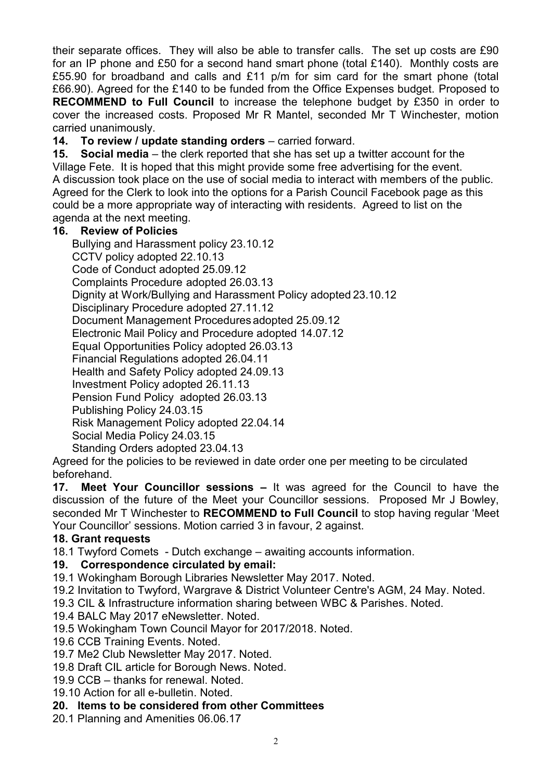their separate offices. They will also be able to transfer calls. The set up costs are £90 for an IP phone and £50 for a second hand smart phone (total £140). Monthly costs are £55.90 for broadband and calls and £11 p/m for sim card for the smart phone (total £66.90). Agreed for the £140 to be funded from the Office Expenses budget. Proposed to **RECOMMEND to Full Council** to increase the telephone budget by £350 in order to cover the increased costs. Proposed Mr R Mantel, seconded Mr T Winchester, motion carried unanimously.

**14. To review / update standing orders** – carried forward.

**15. Social media** – the clerk reported that she has set up a twitter account for the Village Fete. It is hoped that this might provide some free advertising for the event. A discussion took place on the use of social media to interact with members of the public. Agreed for the Clerk to look into the options for a Parish Council Facebook page as this could be a more appropriate way of interacting with residents. Agreed to list on the agenda at the next meeting.

### **16. Review of Policies**

Bullying and Harassment policy 23.10.12 CCTV policy adopted 22.10.13 Code of Conduct adopted 25.09.12 Complaints Procedure adopted 26.03.13 Dignity at Work/Bullying and Harassment Policy adopted 23.10.12 Disciplinary Procedure adopted 27.11.12 Document Management Procedures adopted 25.09.12 Electronic Mail Policy and Procedure adopted 14.07.12 Equal Opportunities Policy adopted 26.03.13 Financial Regulations adopted 26.04.11 Health and Safety Policy adopted 24.09.13 Investment Policy adopted 26.11.13 Pension Fund Policy adopted 26.03.13 Publishing Policy 24.03.15 Risk Management Policy adopted 22.04.14 Social Media Policy 24.03.15 Standing Orders adopted 23.04.13

Agreed for the policies to be reviewed in date order one per meeting to be circulated beforehand.

**17. Meet Your Councillor sessions –** It was agreed for the Council to have the discussion of the future of the Meet your Councillor sessions. Proposed Mr J Bowley, seconded Mr T Winchester to **RECOMMEND to Full Council** to stop having regular 'Meet Your Councillor' sessions. Motion carried 3 in favour, 2 against.

## **18. Grant requests**

18.1 Twyford Comets - Dutch exchange – awaiting accounts information.

#### **19. Correspondence circulated by email:**

19.1 Wokingham Borough Libraries Newsletter May 2017. Noted.

19.2 Invitation to Twyford, Wargrave & District Volunteer Centre's AGM, 24 May. Noted.

19.3 CIL & Infrastructure information sharing between WBC & Parishes. Noted.

19.4 BALC May 2017 eNewsletter. Noted.

19.5 Wokingham Town Council Mayor for 2017/2018. Noted.

19.6 CCB Training Events. Noted.

19.7 Me2 Club Newsletter May 2017. Noted.

19.8 Draft CIL article for Borough News. Noted.

19.9 CCB – thanks for renewal. Noted.

19.10 Action for all e-bulletin. Noted.

#### **20. Items to be considered from other Committees**

20.1 Planning and Amenities 06.06.17